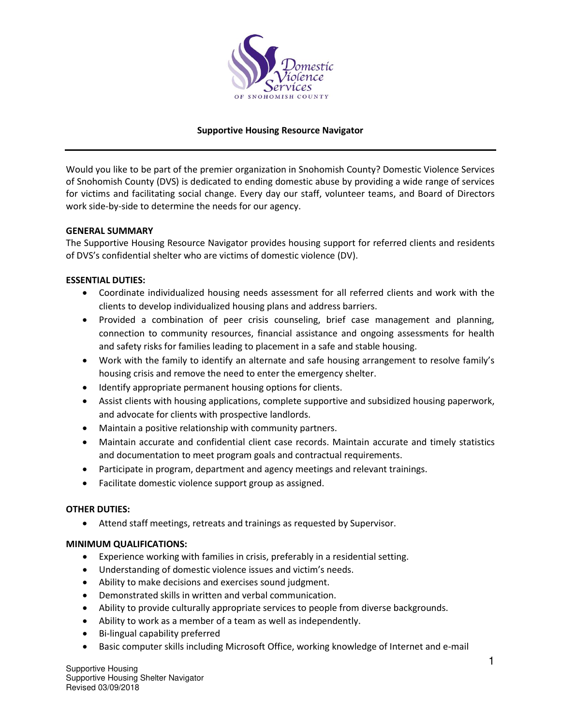

# **Supportive Housing Resource Navigator**

Would you like to be part of the premier organization in Snohomish County? Domestic Violence Services of Snohomish County (DVS) is dedicated to ending domestic abuse by providing a wide range of services for victims and facilitating social change. Every day our staff, volunteer teams, and Board of Directors work side-by-side to determine the needs for our agency.

### **GENERAL SUMMARY**

The Supportive Housing Resource Navigator provides housing support for referred clients and residents of DVS's confidential shelter who are victims of domestic violence (DV).

### **ESSENTIAL DUTIES:**

- Coordinate individualized housing needs assessment for all referred clients and work with the clients to develop individualized housing plans and address barriers.
- Provided a combination of peer crisis counseling, brief case management and planning, connection to community resources, financial assistance and ongoing assessments for health and safety risks for families leading to placement in a safe and stable housing.
- Work with the family to identify an alternate and safe housing arrangement to resolve family's housing crisis and remove the need to enter the emergency shelter.
- Identify appropriate permanent housing options for clients.
- Assist clients with housing applications, complete supportive and subsidized housing paperwork, and advocate for clients with prospective landlords.
- Maintain a positive relationship with community partners.
- Maintain accurate and confidential client case records. Maintain accurate and timely statistics and documentation to meet program goals and contractual requirements.
- Participate in program, department and agency meetings and relevant trainings.
- Facilitate domestic violence support group as assigned.

## **OTHER DUTIES:**

• Attend staff meetings, retreats and trainings as requested by Supervisor.

#### **MINIMUM QUALIFICATIONS:**

- Experience working with families in crisis, preferably in a residential setting.
- Understanding of domestic violence issues and victim's needs.
- Ability to make decisions and exercises sound judgment.
- Demonstrated skills in written and verbal communication.
- Ability to provide culturally appropriate services to people from diverse backgrounds.
- Ability to work as a member of a team as well as independently.
- Bi-lingual capability preferred
- Basic computer skills including Microsoft Office, working knowledge of Internet and e-mail

Supportive Housing Supportive Housing Shelter Navigator Revised 03/09/2018